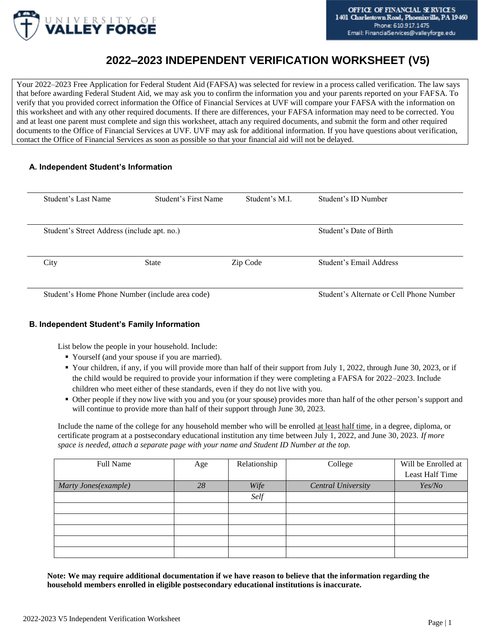

# **2022–2023 INDEPENDENT VERIFICATION WORKSHEET (V5)**

Your 2022–2023 Free Application for Federal Student Aid (FAFSA) was selected for review in a process called verification. The law says that before awarding Federal Student Aid, we may ask you to confirm the information you and your parents reported on your FAFSA. To verify that you provided correct information the Office of Financial Services at UVF will compare your FAFSA with the information on this worksheet and with any other required documents. If there are differences, your FAFSA information may need to be corrected. You and at least one parent must complete and sign this worksheet, attach any required documents, and submit the form and other required documents to the Office of Financial Services at UVF. UVF may ask for additional information. If you have questions about verification, contact the Office of Financial Services as soon as possible so that your financial aid will not be delayed.

# **A. Independent Student's Information**

| Student's Last Name                         | Student's First Name | Student's M.I. | Student's ID Number     |
|---------------------------------------------|----------------------|----------------|-------------------------|
|                                             |                      |                |                         |
| Student's Street Address (include apt. no.) |                      |                | Student's Date of Birth |
|                                             |                      |                |                         |
|                                             |                      |                |                         |
| City                                        | <b>State</b>         | Zip Code       | Student's Email Address |

# **B. Independent Student's Family Information**

List below the people in your household. Include:

- Yourself (and your spouse if you are married).
- Your children, if any, if you will provide more than half of their support from July 1, 2022, through June 30, 2023, or if the child would be required to provide your information if they were completing a FAFSA for 2022–2023. Include children who meet either of these standards, even if they do not live with you.
- Other people if they now live with you and you (or your spouse) provides more than half of the other person's support and will continue to provide more than half of their support through June 30, 2023.

Include the name of the college for any household member who will be enrolled at least half time, in a degree, diploma, or certificate program at a postsecondary educational institution any time between July 1, 2022, and June 30, 2023. *If more space is needed, attach a separate page with your name and Student ID Number at the top.*

| <b>Full Name</b>     | Age | Relationship | College                   | Will be Enrolled at |
|----------------------|-----|--------------|---------------------------|---------------------|
|                      |     |              |                           | Least Half Time     |
| Marty Jones(example) | 28  | Wife         | <b>Central University</b> | Yes/No              |
|                      |     | Self         |                           |                     |
|                      |     |              |                           |                     |
|                      |     |              |                           |                     |
|                      |     |              |                           |                     |
|                      |     |              |                           |                     |
|                      |     |              |                           |                     |

**Note: We may require additional documentation if we have reason to believe that the information regarding the household members enrolled in eligible postsecondary educational institutions is inaccurate.**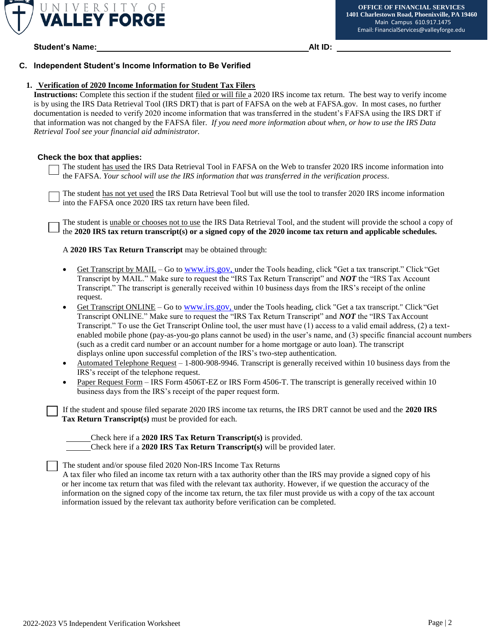

## **C. Independent Student's Income Information to Be Verified**

## **1. Verification of 2020 Income Information for Student Tax Filers**

**Instructions:** Complete this section if the student filed or will file a 2020 IRS income tax return. The best way to verify income is by using the IRS Data Retrieval Tool (IRS DRT) that is part of FAFSA on the web at FAFSA.gov. In most cases, no further documentation is needed to verify 2020 income information that was transferred in the student's FAFSA using the IRS DRT if that information was not changed by the FAFSA filer. *If you need more information about when, or how to use the IRS Data Retrieval Tool see your financial aid administrator.* 

## **Check the box that applies:**

| $\Box$ The student has used the IRS Data Retrieval Tool in FAFSA on the Web to transfer 2020 IRS income information into |
|--------------------------------------------------------------------------------------------------------------------------|
| the FAFSA. Your school will use the IRS information that was transferred in the verification process.                    |

The student has not yet used the IRS Data Retrieval Tool but will use the tool to transfer 2020 IRS income information into the FAFSA once 2020 IRS tax return have been filed.

The student is unable or chooses not to use the IRS Data Retrieval Tool, and the student will provide the school a copy of the **2020 IRS tax return transcript(s) or a signed copy of the 2020 income tax return and applicable schedules.**

A **2020 IRS Tax Return Transcript** may be obtained through:

- Get Transcript by MAIL Go to [www.irs.gov,](http://www.irs.gov/) under the Tools heading, click "Get a tax transcript." Click "Get Transcript by MAIL." Make sure to request the "IRS Tax Return Transcript" and *NOT* the "IRS Tax Account Transcript." The transcript is generally received within 10 business days from the IRS's receipt of the online request.
- Get Transcript ONLINE Go to [www.irs.gov,](http://www.irs.gov/) under the Tools heading, click "Get a tax transcript." Click"Get Transcript ONLINE." Make sure to request the "IRS Tax Return Transcript" and *NOT* the "IRS TaxAccount Transcript." To use the Get Transcript Online tool, the user must have (1) access to a valid email address, (2) a textenabled mobile phone (pay-as-you-go plans cannot be used) in the user's name, and (3) specific financial account numbers (such as a credit card number or an account number for a home mortgage or auto loan). The transcript displays online upon successful completion of the IRS's two-step authentication.
- Automated Telephone Request 1-800-908-9946. Transcript is generally received within 10 business days from the IRS's receipt of the telephone request.
- Paper Request Form IRS Form 4506T-EZ or IRS Form 4506-T. The transcript is generally received within 10 business days from the IRS's receipt of the paper request form.

If the student and spouse filed separate 2020 IRS income tax returns, the IRS DRT cannot be used and the **2020 IRS Tax Return Transcript(s)** must be provided for each.

Check here if a **2020 IRS Tax Return Transcript(s)** is provided. Check here if a **2020 IRS Tax Return Transcript(s)** will be provided later.

The student and/or spouse filed 2020 Non-IRS Income Tax Returns

A tax filer who filed an income tax return with a tax authority other than the IRS may provide a signed copy of his or her income tax return that was filed with the relevant tax authority. However, if we question the accuracy of the information on the signed copy of the income tax return, the tax filer must provide us with a copy of the tax account information issued by the relevant tax authority before verification can be completed.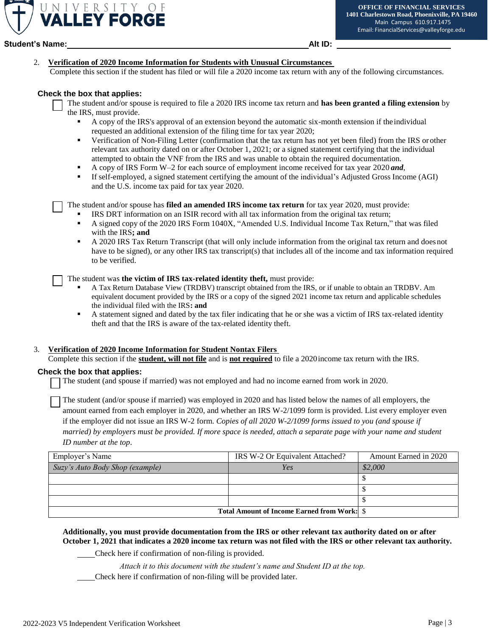

## 2. **Verification of 2020 Income Information for Students with Unusual Circumstances**

Complete this section if the student has filed or will file a 2020 income tax return with any of the following circumstances.

#### **Check the box that applies:**

- The student and/or spouse is required to file a 2020 IRS income tax return and **has been granted a filing extension** by the IRS, must provide.
	- A copy of the IRS's approval of an extension beyond the automatic six-month extension if the individual requested an additional extension of the filing time for tax year 2020;
	- Verification of Non-Filing Letter (confirmation that the tax return has not yet been filed) from the IRS or other relevant tax authority dated on or after October 1, 2021; or a signed statement certifying that the individual attempted to obtain the VNF from the IRS and was unable to obtain the required documentation.
	- A copy of IRS Form W–2 for each source of employment income received for tax year 2020 *and*,
	- If self-employed, a signed statement certifying the amount of the individual's Adjusted Gross Income (AGI) and the U.S. income tax paid for tax year 2020.

The student and/or spouse has **filed an amended IRS income tax return** for tax year 2020, must provide:

- IRS DRT information on an ISIR record with all tax information from the original tax return;
- A signed copy of the 2020 IRS Form 1040X, "Amended U.S. Individual Income Tax Return," that was filed with the IRS**; and**
- A 2020 IRS Tax Return Transcript (that will only include information from the original tax return and does not have to be signed), or any other IRS tax transcript(s) that includes all of the income and tax information required to be verified.

The student was **the victim of IRS tax-related identity theft,** must provide:

- A Tax Return Database View (TRDBV) transcript obtained from the IRS, or if unable to obtain an TRDBV. Am equivalent document provided by the IRS or a copy of the signed 2021 income tax return and applicable schedules the individual filed with the IRS**: and**
- A statement signed and dated by the tax filer indicating that he or she was a victim of IRS tax-related identity theft and that the IRS is aware of the tax-related identity theft.

#### 3. **Verification of 2020 Income Information for Student Nontax Filers**

Complete this section if the **student, will not file** and is **not required** to file a 2020income tax return with the IRS.

#### **Check the box that applies:**

The student (and spouse if married) was not employed and had no income earned from work in 2020.

The student (and/or spouse if married) was employed in 2020 and has listed below the names of all employers, the amount earned from each employer in 2020, and whether an IRS W-2/1099 form is provided. List every employer even if the employer did not issue an IRS W-2 form. *Copies of all 2020 W-2/1099 forms issued to you (and spouse if married) by employers must be provided. If more space is needed, attach a separate page with your name and student ID number at the top*.

| Employer's Name                                    | IRS W-2 Or Equivalent Attached? | Amount Earned in 2020 |
|----------------------------------------------------|---------------------------------|-----------------------|
| Suzy's Auto Body Shop (example)                    | Yes                             | \$2,000               |
|                                                    |                                 |                       |
|                                                    |                                 |                       |
|                                                    |                                 |                       |
| <b>Total Amount of Income Earned from Work:</b> \$ |                                 |                       |

# **Additionally, you must provide documentation from the IRS or other relevant tax authority dated on or after October 1, 2021 that indicates a 2020 income tax return was not filed with the IRS or other relevant tax authority.**

Check here if confirmation of non-filing is provided.

*Attach it to this document with the student's name and Student ID at the top.* 

Check here if confirmation of non-filing will be provided later.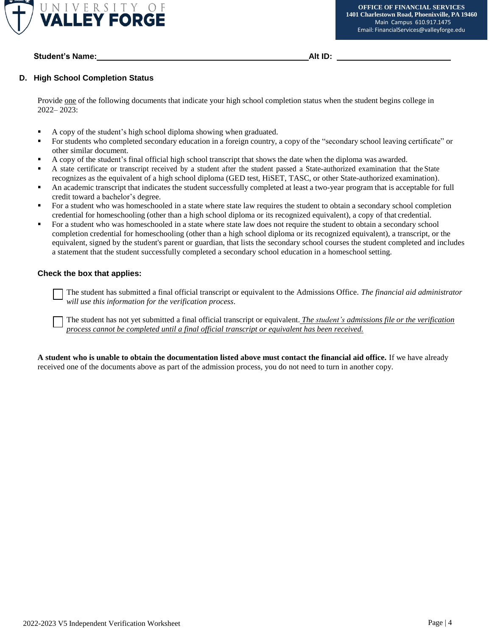

## **D. High School Completion Status**

Provide one of the following documents that indicate your high school completion status when the student begins college in 2022– 2023:

- A copy of the student's high school diploma showing when graduated.
- For students who completed secondary education in a foreign country, a copy of the "secondary school leaving certificate" or other similar document.
- A copy of the student's final official high school transcript that shows the date when the diploma was awarded.
- A state certificate or transcript received by a student after the student passed a State-authorized examination that the State recognizes as the equivalent of a high school diploma (GED test, HiSET, TASC, or other State-authorized examination).
- **•** An academic transcript that indicates the student successfully completed at least a two-year program that is acceptable for full credit toward a bachelor's degree.
- For a student who was homeschooled in a state where state law requires the student to obtain a secondary school completion credential for homeschooling (other than a high school diploma or its recognized equivalent), a copy of that credential.
- For a student who was homeschooled in a state where state law does not require the student to obtain a secondary school completion credential for homeschooling (other than a high school diploma or its recognized equivalent), a transcript, or the equivalent, signed by the student's parent or guardian, that lists the secondary school courses the student completed and includes a statement that the student successfully completed a secondary school education in a homeschool setting.

## **Check the box that applies:**

The student has submitted a final official transcript or equivalent to the Admissions Office. *The financial aid administrator will use this information for the verification process*.

The student has not yet submitted a final official transcript or equivalent. *The student's admissions file or the verification process cannot be completed until a final official transcript or equivalent has been received.*

**A student who is unable to obtain the documentation listed above must contact the financial aid office.** If we have already received one of the documents above as part of the admission process, you do not need to turn in another copy.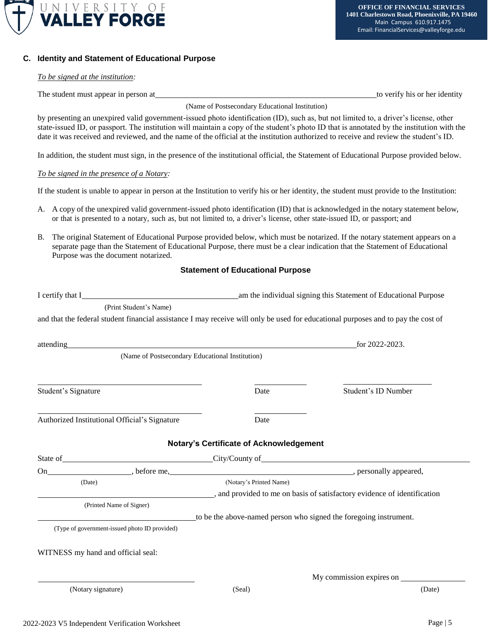

# **C. Identity and Statement of Educational Purpose**

## *To be signed at the institution:*

The student must appear in person at the student must appear in person at the verify his or her identity

(Name of Postsecondary Educational Institution)

by presenting an unexpired valid government-issued photo identification (ID), such as, but not limited to, a driver's license, other state-issued ID, or passport. The institution will maintain a copy of the student's photo ID that is annotated by the institution with the date it was received and reviewed, and the name of the official at the institution authorized to receive and review the student's ID.

In addition, the student must sign, in the presence of the institutional official, the Statement of Educational Purpose provided below.

*To be signed in the presence of a Notary:*

If the student is unable to appear in person at the Institution to verify his or her identity, the student must provide to the Institution:

- A. A copy of the unexpired valid government-issued photo identification (ID) that is acknowledged in the notary statement below, or that is presented to a notary, such as, but not limited to, a driver's license, other state-issued ID, or passport; and
- B. The original Statement of Educational Purpose provided below, which must be notarized. If the notary statement appears on a separate page than the Statement of Educational Purpose, there must be a clear indication that the Statement of Educational Purpose was the document notarized.

# **Statement of Educational Purpose**

| (Print Student's Name)                                                                                                                                                                                                         |                                                                        |                          |  |  |
|--------------------------------------------------------------------------------------------------------------------------------------------------------------------------------------------------------------------------------|------------------------------------------------------------------------|--------------------------|--|--|
| and that the federal student financial assistance I may receive will only be used for educational purposes and to pay the cost of                                                                                              |                                                                        |                          |  |  |
| attending for 2022-2023.                                                                                                                                                                                                       |                                                                        |                          |  |  |
|                                                                                                                                                                                                                                | (Name of Postsecondary Educational Institution)                        |                          |  |  |
| the control of the control of the control of the control of the control of the control of<br>Student's Signature                                                                                                               | Date                                                                   | Student's ID Number      |  |  |
| Authorized Institutional Official's Signature                                                                                                                                                                                  | Date                                                                   |                          |  |  |
|                                                                                                                                                                                                                                | <b>Notary's Certificate of Acknowledgement</b>                         |                          |  |  |
| State of City/County of City/County of City/County of City/County of City/County of City/County of City/County of City/County of City/County of City/County of City/County of City/County of City/County of City/County of Cit |                                                                        |                          |  |  |
|                                                                                                                                                                                                                                |                                                                        |                          |  |  |
| (Date)                                                                                                                                                                                                                         | (Notary's Printed Name)                                                |                          |  |  |
|                                                                                                                                                                                                                                | and provided to me on basis of satisfactory evidence of identification |                          |  |  |
| (Printed Name of Signer)                                                                                                                                                                                                       |                                                                        |                          |  |  |
|                                                                                                                                                                                                                                | to be the above-named person who signed the foregoing instrument.      |                          |  |  |
| (Type of government-issued photo ID provided)                                                                                                                                                                                  |                                                                        |                          |  |  |
| WITNESS my hand and official seal:                                                                                                                                                                                             |                                                                        |                          |  |  |
|                                                                                                                                                                                                                                |                                                                        | My commission expires on |  |  |
| (Notary signature)                                                                                                                                                                                                             | (Seal)                                                                 | (Date)                   |  |  |